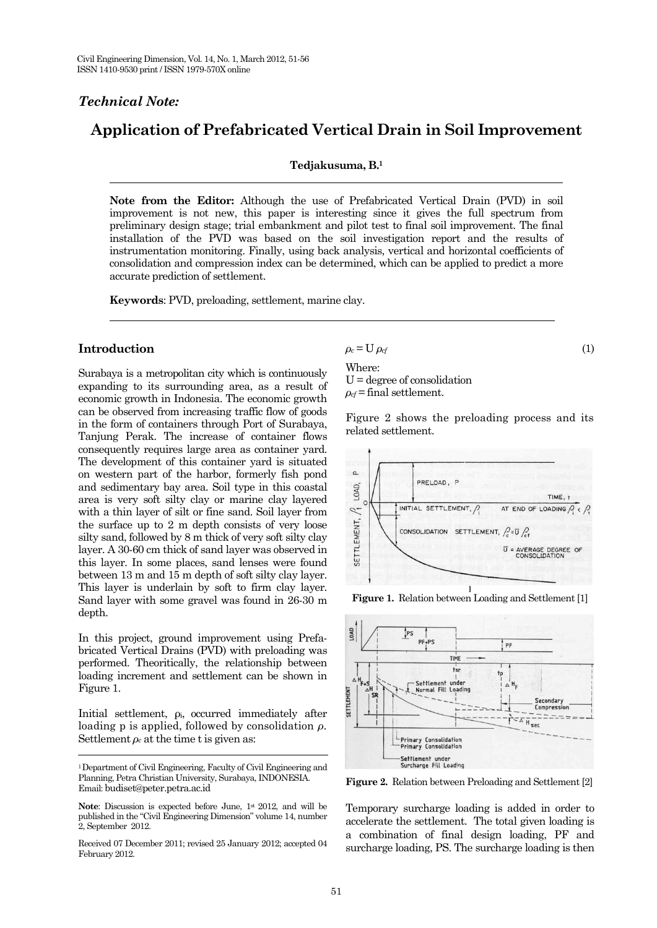## *Technical Note:*

# **Application of Prefabricated Vertical Drain in Soil Improvement**

#### **Tedjakusuma, B.<sup>1</sup>**

**Note from the Editor:** Although the use of Prefabricated Vertical Drain (PVD) in soil improvement is not new, this paper is interesting since it gives the full spectrum from preliminary design stage; trial embankment and pilot test to final soil improvement. The final installation of the PVD was based on the soil investigation report and the results of instrumentation monitoring. Finally, using back analysis, vertical and horizontal coefficients of consolidation and compression index can be determined, which can be applied to predict a more accurate prediction of settlement.

**Keywords**: PVD, preloading, settlement, marine clay.

## **Introduction**

Surabaya is a metropolitan city which is continuously expanding to its surrounding area, as a result of economic growth in Indonesia. The economic growth can be observed from increasing traffic flow of goods in the form of containers through Port of Surabaya, Tanjung Perak. The increase of container flows consequently requires large area as container yard. The development of this container yard is situated on western part of the harbor, formerly fish pond and sedimentary bay area. Soil type in this coastal area is very soft silty clay or marine clay layered with a thin layer of silt or fine sand. Soil layer from the surface up to 2 m depth consists of very loose silty sand, followed by 8 m thick of very soft silty clay layer. A 30-60 cm thick of sand layer was observed in this layer. In some places, sand lenses were found between 13 m and 15 m depth of soft silty clay layer. This layer is underlain by soft to firm clay layer. Sand layer with some gravel was found in 26-30 m depth.

In this project, ground improvement using Prefabricated Vertical Drains (PVD) with preloading was performed. Theoritically, the relationship between loading increment and settlement can be shown in Figure 1.

Initial settlement, ρi, occurred immediately after loading p is applied, followed by consolidation *ρ*. Settlement  $\rho_c$  at the time t is given as:

Received 07 December 2011; revised 25 January 2012; accepted 04 February 2012.

$$
\rho_c = U \rho_{cf} \tag{1}
$$

Where:  $U =$  degree of consolidation  $\rho_{cf}$  = final settlement.

Figure 2 shows the preloading process and its related settlement.



**] Figure 1.** Relation between Loading and Settlement [1]



**Figure 2.** Relation between Preloading and Settlement [2]

Temporary surcharge loading is added in order to accelerate the settlement. The total given loading is a combination of final design loading, PF and surcharge loading, PS. The surcharge loading is then

<sup>1</sup>Department of Civil Engineering, Faculty of Civil Engineering and Planning, Petra Christian University, Surabaya, INDONESIA. Email: [budiset@peter.petra.ac.id](javascript:popup_imp()

Note: Discussion is expected before June, 1<sup>st</sup> 2012, and will be published in the "Civil Engineering Dimension" volume 14, number 2, September 2012.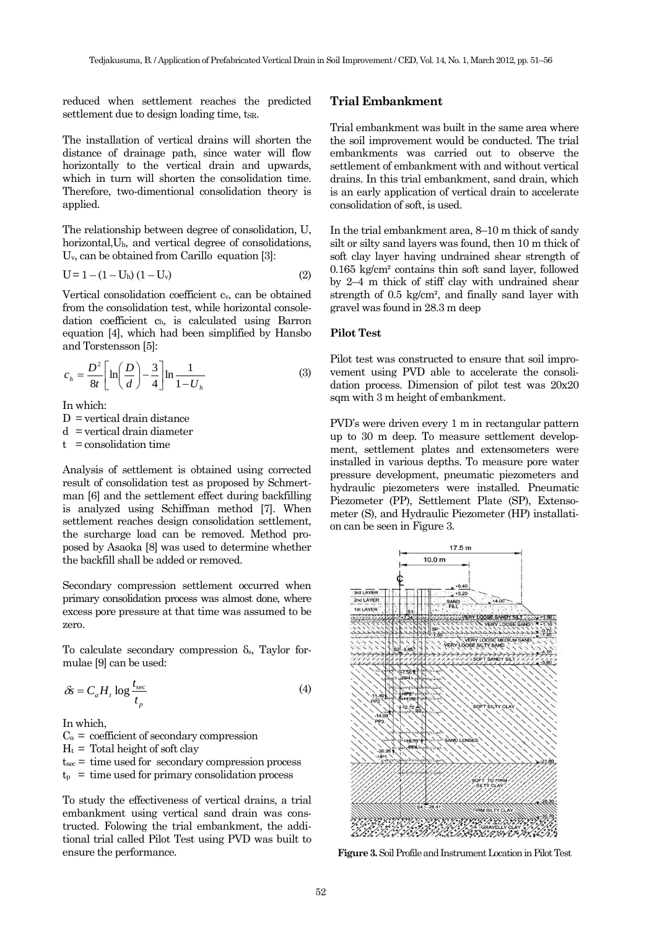reduced when settlement reaches the predicted settlement due to design loading time, tsp.

The installation of vertical drains will shorten the distance of drainage path, since water will flow horizontally to the vertical drain and upwards, which in turn will shorten the consolidation time. Therefore, two-dimentional consolidation theory is applied.

The relationship between degree of consolidation, U, horizontal,Uh, and vertical degree of consolidations, Uv, can be obtained from Carillo equation [3]:

$$
U = 1 - (1 - U_h) (1 - U_v)
$$
 (2)

Vertical consolidation coefficient cv, can be obtained from the consolidation test, while horizontal consoledation coefficient ch, is calculated using Barron equation [4], which had been simplified by Hansbo and Torstensson [5]:

$$
c_h = \frac{D^2}{8t} \left[ \ln \left( \frac{D}{d} \right) - \frac{3}{4} \right] \ln \frac{1}{1 - U_h} \tag{3}
$$

In which:

D = vertical drain distance

d = vertical drain diameter

 $t =$ consolidation time

Analysis of settlement is obtained using corrected result of consolidation test as proposed by Schmertman [6] and the settlement effect during backfilling is analyzed using Schiffman method [7]. When settlement reaches design consolidation settlement, the surcharge load can be removed. Method proposed by Asaoka [8] was used to determine whether the backfill shall be added or removed.

Secondary compression settlement occurred when primary consolidation process was almost done, where excess pore pressure at that time was assumed to be zero.

To calculate secondary compression  $\delta$ <sub>s</sub>, Taylor formulae [9] can be used:

$$
\delta s = C_a H_t \log \frac{t_{\text{sec}}}{t_p} \tag{4}
$$

In which,

 $C_{\alpha}$  = coefficient of secondary compression

 $H_t$  = Total height of soft clay

 $t<sub>sec</sub> =$  time used for secondary compression process

 $t_p$  = time used for primary consolidation process

To study the effectiveness of vertical drains, a trial embankment using vertical sand drain was constructed. Folowing the trial embankment, the additional trial called Pilot Test using PVD was built to ensure the performance.

## **Trial Embankment**

Trial embankment was built in the same area where the soil improvement would be conducted. The trial embankments was carried out to observe the settlement of embankment with and without vertical drains. In this trial embankment, sand drain, which is an early application of vertical drain to accelerate consolidation of soft, is used.

In the trial embankment area, 8–10 m thick of sandy silt or silty sand layers was found, then 10 m thick of soft clay layer having undrained shear strength of 0.165 kg/cm² contains thin soft sand layer, followed by 2–4 m thick of stiff clay with undrained shear strength of 0.5 kg/cm², and finally sand layer with gravel was found in 28.3 m deep

#### **Pilot Test**

Pilot test was constructed to ensure that soil improvement using PVD able to accelerate the consolidation process. Dimension of pilot test was 20x20 sqm with 3 m height of embankment.

PVD's were driven every 1 m in rectangular pattern up to 30 m deep. To measure settlement development, settlement plates and extensometers were installed in various depths. To measure pore water pressure development, pneumatic piezometers and hydraulic piezometers were installed*.* Pneumatic Piezometer (PP), Settlement Plate (SP), Extensometer (S), and Hydraulic Piezometer (HP) installation can be seen in Figure 3.



**Figure 3.**Soil Profile and Instrument Location in Pilot Test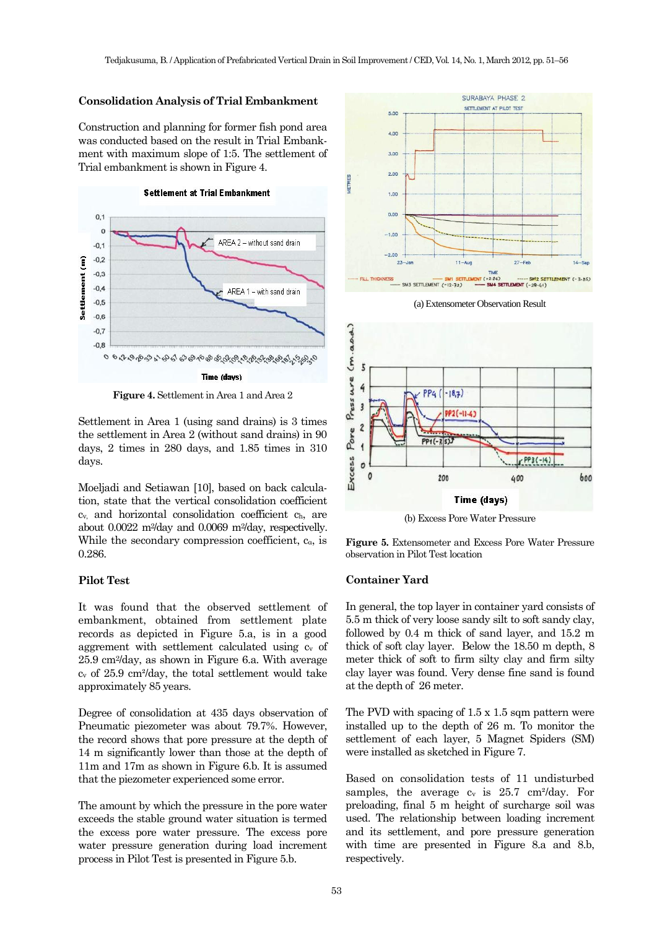## **Consolidation Analysis of Trial Embankment**

Construction and planning for former fish pond area was conducted based on the result in Trial Embankment with maximum slope of 1:5. The settlement of Trial embankment is shown in Figure 4.



**Figure 4.** Settlement in Area 1 and Area 2

Settlement in Area 1 (using sand drains) is 3 times the settlement in Area 2 (without sand drains) in 90 days, 2 times in 280 days, and 1.85 times in 310 days.

Moeljadi and Setiawan [10], based on back calculation, state that the vertical consolidation coefficient cv, and horizontal consolidation coefficient ch, are about 0.0022 m2/day and 0.0069 m2/day, respectivelly. While the secondary compression coefficient,  $c_{\alpha}$ , is 0.286.

## **Pilot Test**

It was found that the observed settlement of embankment, obtained from settlement plate records as depicted in Figure 5.a, is in a good aggrement with settlement calculated using  $c_v$  of 25.9 cm2/day, as shown in Figure 6.a. With average c<sup>v</sup> of 25.9 cm²/day, the total settlement would take approximately 85 years.

Degree of consolidation at 435 days observation of Pneumatic piezometer was about 79.7%. However, the record shows that pore pressure at the depth of 14 m significantly lower than those at the depth of 11m and 17m as shown in Figure 6.b. It is assumed that the piezometer experienced some error.

The amount by which the pressure in the pore water exceeds the stable ground water situation is termed the excess pore water pressure. The excess pore water pressure generation during load increment process in Pilot Test is presented in Figure 5.b.



(a) Extensometer Observation Result



(b) Excess Pore Water Pressure

**Figure 5.** Extensometer and Excess Pore Water Pressure observation in Pilot Test location

### **Container Yard**

In general, the top layer in container yard consists of 5.5 m thick of very loose sandy silt to soft sandy clay, followed by 0.4 m thick of sand layer, and 15.2 m thick of soft clay layer. Below the 18.50 m depth, 8 meter thick of soft to firm silty clay and firm silty clay layer was found. Very dense fine sand is found at the depth of 26 meter.

The PVD with spacing of  $1.5 \times 1.5$  sqm pattern were installed up to the depth of 26 m. To monitor the settlement of each layer, 5 Magnet Spiders (SM) were installed as sketched in Figure 7.

Based on consolidation tests of 11 undisturbed samples, the average  $c_v$  is 25.7 cm<sup>2</sup>/day. For preloading, final 5 m height of surcharge soil was used. The relationship between loading increment and its settlement, and pore pressure generation with time are presented in Figure 8.a and 8.b, respectively.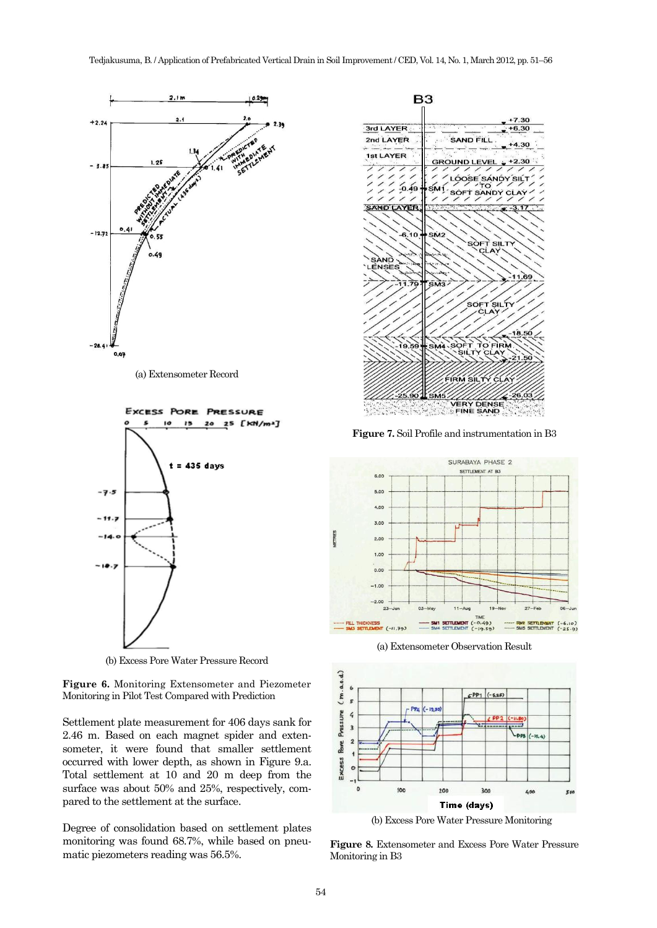

(a) Extensometer Record



(b) Excess Pore Water Pressure Record

**Figure 6.** Monitoring Extensometer and Piezometer Monitoring in Pilot Test Compared with Prediction

Settlement plate measurement for 406 days sank for 2.46 m. Based on each magnet spider and extensometer, it were found that smaller settlement occurred with lower depth, as shown in Figure 9.a. Total settlement at 10 and 20 m deep from the surface was about 50% and 25%, respectively, compared to the settlement at the surface.

Degree of consolidation based on settlement plates monitoring was found 68.7%, while based on pneumatic piezometers reading was 56.5%.



**Figure 7.** Soil Profile and instrumentation in B3



(a) Extensometer Observation Result



(b) Excess Pore Water Pressure Monitoring

**Figure 8.** Extensometer and Excess Pore Water Pressure Monitoring in B3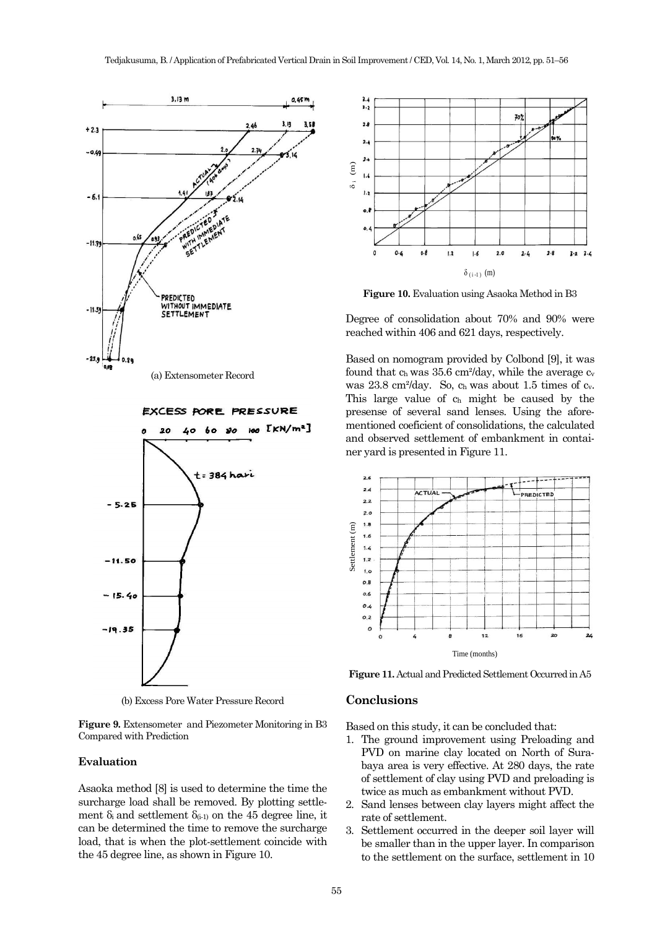

**EXCESS PORE PRESSURE** 



(b) Excess Pore Water Pressure Record

**Figure 9.** Extensometerand Piezometer Monitoring in B3 Compared with Prediction

#### **Evaluation**

Asaoka method [8] is used to determine the time the surcharge load shall be removed. By plotting settlement  $\delta_i$  and settlement  $\delta_{(i-1)}$  on the 45 degree line, it can be determined the time to remove the surcharge load, that is when the plot-settlement coincide with the 45 degree line, as shown in Figure 10.



Figure 10. Evaluation using Asaoka Method in B3

Degree of consolidation about 70% and 90% were reached within 406 and 621 days, respectively.

Based on nomogram provided by Colbond [9], it was found that  $c<sub>h</sub>$  was 35.6 cm<sup>2</sup>/day, while the average  $c<sub>v</sub>$ was 23.8 cm²/day. So, ch was about 1.5 times of cv. This large value of c<sup>h</sup> might be caused by the presense of several sand lenses. Using the aforementioned coeficient of consolidations, the calculated and observed settlement of embankment in container yard is presented in Figure 11.



**Figure 11.** Actual and Predicted Settlement Occurred in A5

### **Conclusions**

Based on this study, it can be concluded that:

- 1. The ground improvement using Preloading and PVD on marine clay located on North of Surabaya area is very effective. At 280 days, the rate of settlement of clay using PVD and preloading is twice as much as embankment without PVD.
- 2. Sand lenses between clay layers might affect the rate of settlement.
- 3. Settlement occurred in the deeper soil layer will be smaller than in the upper layer. In comparison to the settlement on the surface, settlement in 10